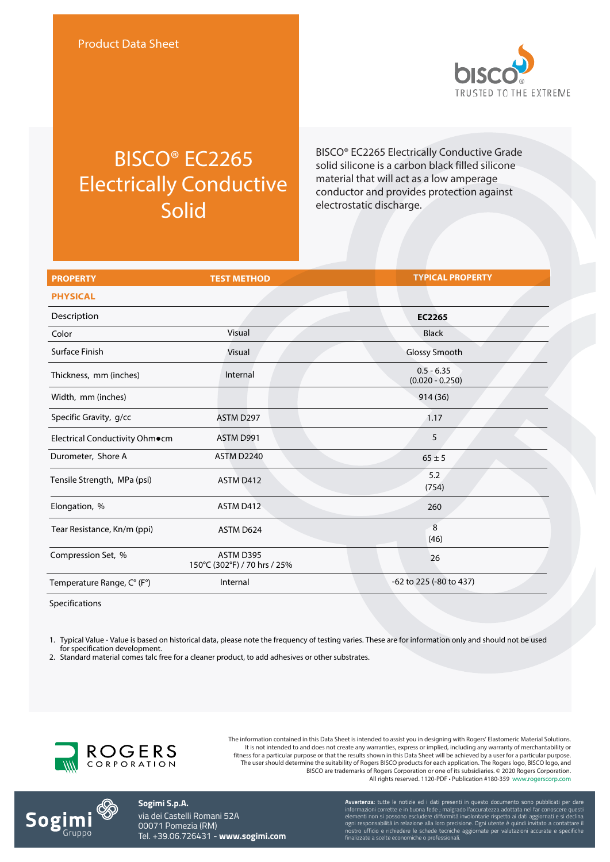

## BISCO® EC2265 Electrically Conductive Solid

BISCO® EC2265 Electrically Conductive Grade solid silicone is a carbon black filled silicone material that will act as a low amperage conductor and provides protection against electrostatic discharge.

| <b>PROPERTY</b>                | <b>TEST METHOD</b>                        | <b>TYPICAL PROPERTY</b>           |
|--------------------------------|-------------------------------------------|-----------------------------------|
| <b>PHYSICAL</b>                |                                           |                                   |
| Description                    |                                           | <b>EC2265</b>                     |
| Color                          | Visual                                    | <b>Black</b>                      |
| Surface Finish                 | Visual                                    | Glossy Smooth                     |
| Thickness, mm (inches)         | Internal                                  | $0.5 - 6.35$<br>$(0.020 - 0.250)$ |
| Width, mm (inches)             |                                           | 914 (36)                          |
| Specific Gravity, g/cc         | ASTM D297                                 | 1.17                              |
| Electrical Conductivity Ohm•cm | ASTM D991                                 | 5                                 |
| Durometer, Shore A             | <b>ASTM D2240</b>                         | $65 \pm 5$                        |
| Tensile Strength, MPa (psi)    | ASTM D412                                 | 5.2<br>(754)                      |
| Elongation, %                  | ASTM D412                                 | 260                               |
| Tear Resistance, Kn/m (ppi)    | ASTM D624                                 | 8<br>(46)                         |
| Compression Set, %             | ASTM D395<br>150°C (302°F) / 70 hrs / 25% | 26                                |
| Temperature Range, C° (F°)     | Internal                                  | -62 to 225 (-80 to 437)           |

Specifications

1. Typical Value - Value is based on historical data, please note the frequency of testing varies. These are for information only and should not be used for specification development.

2. Standard material comes talc free for a cleaner product, to add adhesives or other substrates.



The information contained in this Data Sheet is intended to assist you in designing with Rogers' Elastomeric Material Solutions. It is not intended to and does not create any warranties, express or implied, including any warranty of merchantability or fitness for a particular purpose or that the results shown in this Data Sheet will be achieved by a user for a particular purpose. The user should determine the suitability of Rogers BISCO products for each application. The Rogers logo, BISCO logo, and BISCO are trademarks of Rogers Corporation or one of its subsidiaries. © 2020 Rogers Corporation. All rights reserved. 1120-PDF • Publication #180-359 www.rogerscorp.com



**Sogimi S.p.A.** via dei Castelli Romani 52A 00071 Pomezia (RM) Tel. +39.06.726431 - **www.sogimi.com** **Avvertenza:** tutte le notizie ed i dati presenti in questo documento sono pubblicati per dare informazioni corrette e in buona fede ; malgrado l'accuratezza adottata nel far conoscere questi elementi non si possono escludere difformità involontarie rispetto ai dati aggiornati e si declina ogni responsabilità in relazione alla loro precisione. Ogni utente è quindi invitato a contattare il nostro ufficio e richiedere le schede tecniche aggiornate per valutazioni accurate e specifiche finalizzate a scelte economiche o professionali.